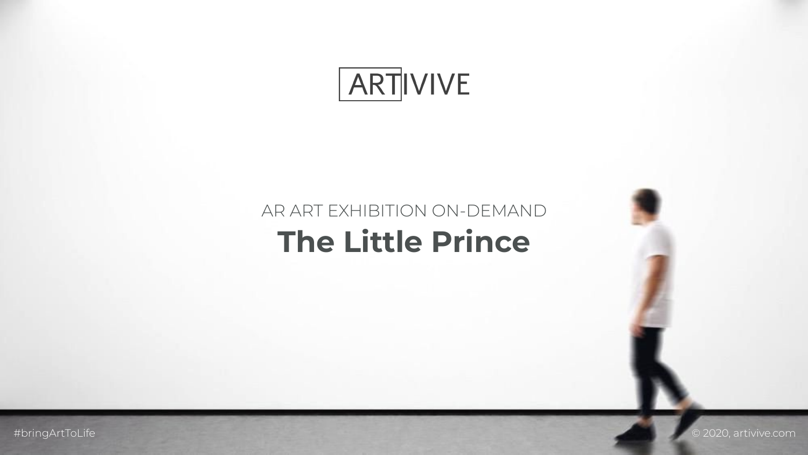





# AR ART EXHIBITION ON-DEMAND **The Little Prince**

#bringArtToLife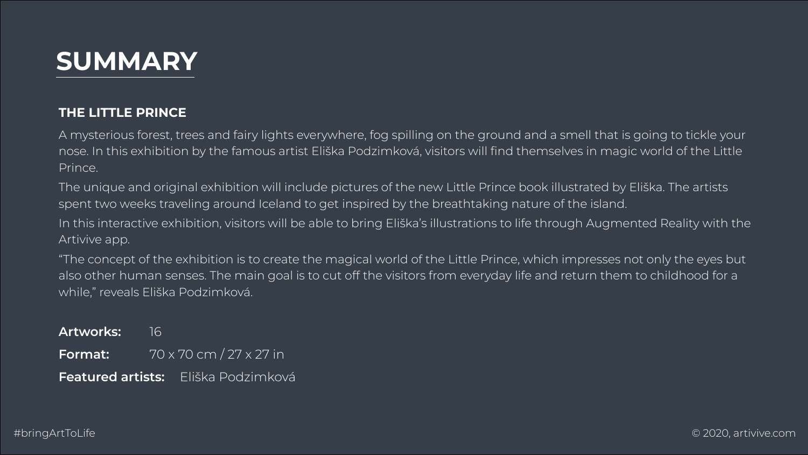# **SUMMARY**

### **THE LITTLE PRINCE**

A mysterious forest, trees and fairy lights everywhere, fog spilling on the ground and a smell that is going to tickle your nose. In this exhibition by the famous artist Eliška Podzimková, visitors will find themselves in magic world of the Little

The unique and original exhibition will include pictures of the new Little Prince book illustrated by Eliška. The artists





In this interactive exhibition, visitors will be able to bring Eliška's illustrations to life through Augmented Reality with the

- Prince.
- spent two weeks traveling around Iceland to get inspired by the breathtaking nature of the island.
- Artivive app.
- while," reveals Eliška Podzimková.

"The concept of the exhibition is to create the magical world of the Little Prince, which impresses not only the eyes but also other human senses. The main goal is to cut off the visitors from everyday life and return them to childhood for a

| Artworks: 16                        |  |                         |
|-------------------------------------|--|-------------------------|
| Format:                             |  | 70 x 70 cm / 27 x 27 in |
| Featured artists: Eliška Podzimková |  |                         |

#bringArtToLife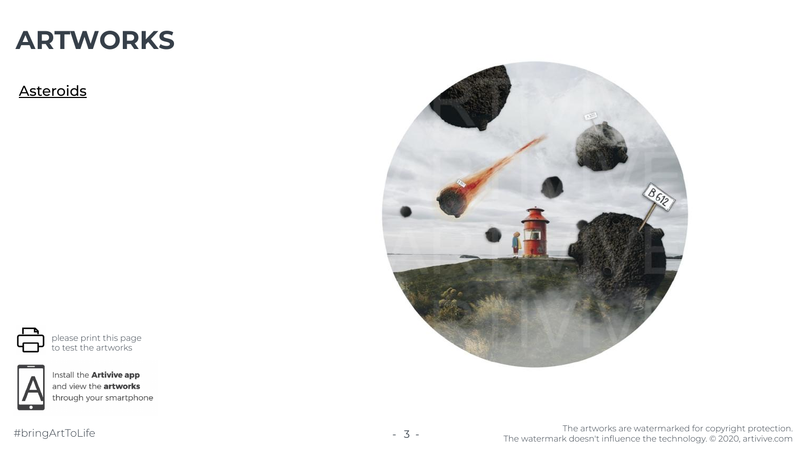

please print this page to test the artworks



Install the **Artivive app** and view the artworks<br>through your smartphone

#bringArtToLife - 3 -





### **Asteroids**

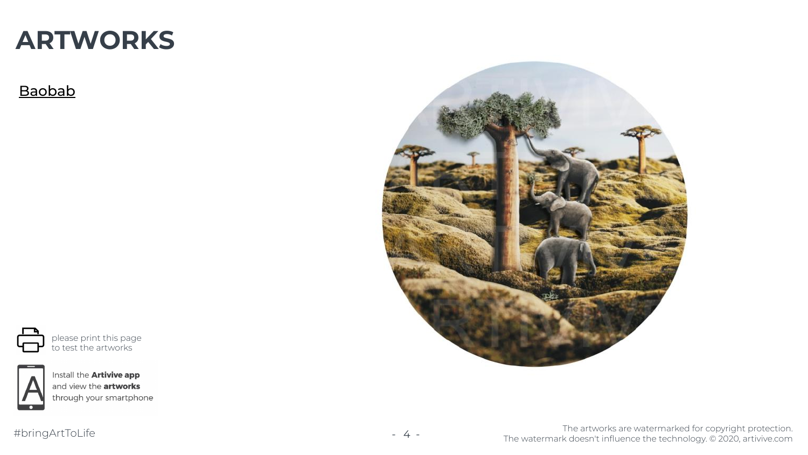

please print this page to test the artworks



Install the **Artivive app** and view the artworks<br>through your smartphone

#bringArtToLife - 4 -





#### Baobab

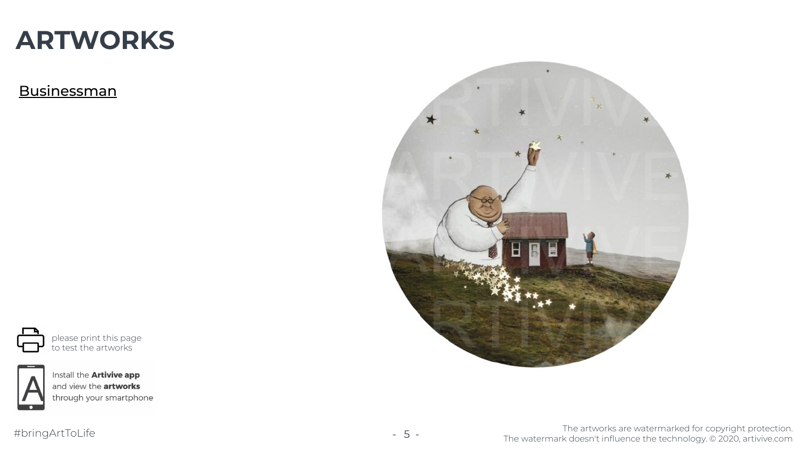

please print this page to test the artworks



Install the **Artivive app** and view the artworks<br>through your smartphone

#bringArtToLife - 5 -





**Businessman** 

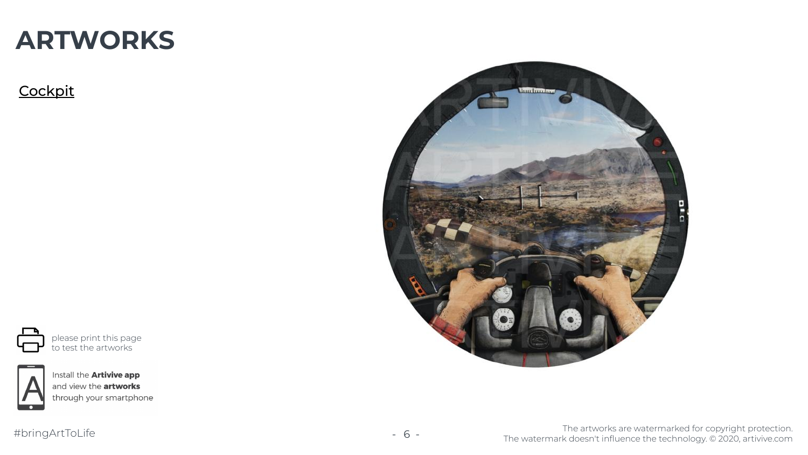

please print this page to test the artworks



Install the **Artivive app** and view the artworks<br>through your smartphone

#bringArtToLife - 6 -





### **Cockpit**

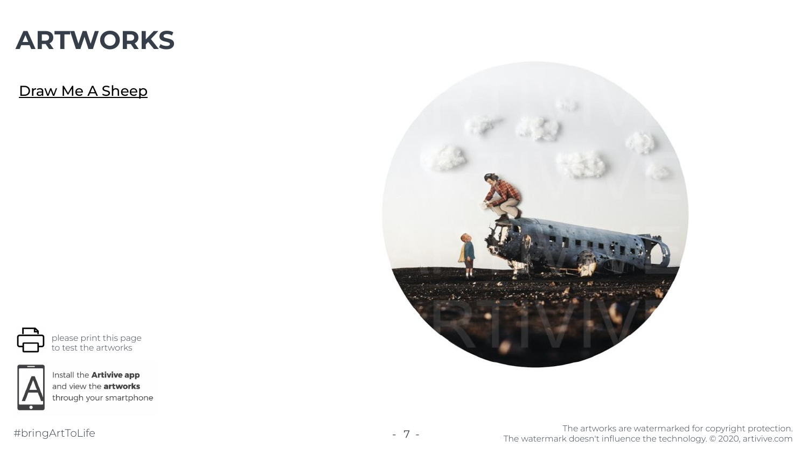

please print this page to test the artworks



Install the **Artivive app** and view the artworks<br>through your smartphone

#bringArtToLife - 7 -



### **ARTWORKS**

Draw Me A Sheep

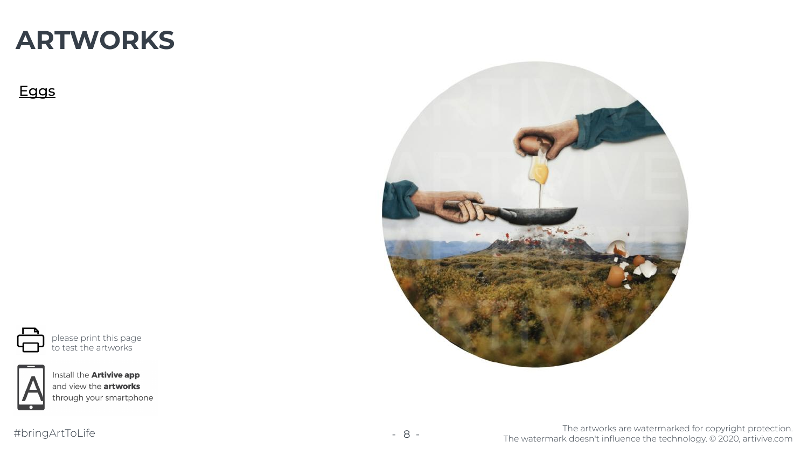

please print this page to test the artworks



Install the **Artivive app** and view the artworks<br>through your smartphone

#bringArtToLife - 8 -



### **ARTWORKS**

### Eggs

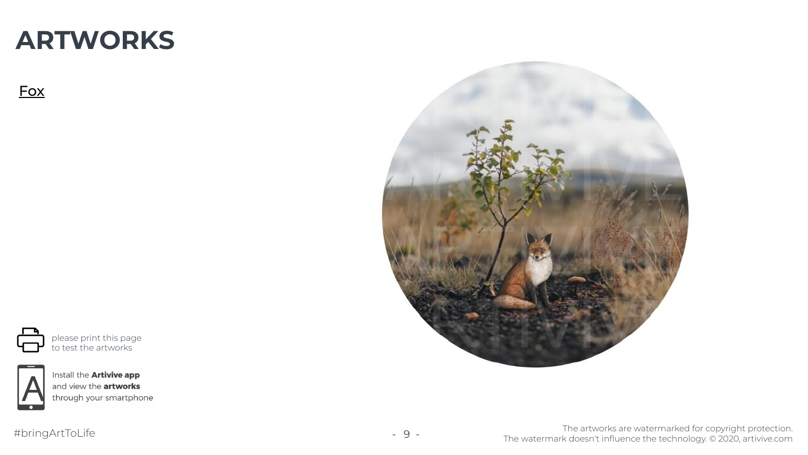

please print this page to test the artworks



Install the **Artivive app** and view the artworks<br>through your smartphone

#bringArtToLife - 9 -



### **ARTWORKS**

#### Fox

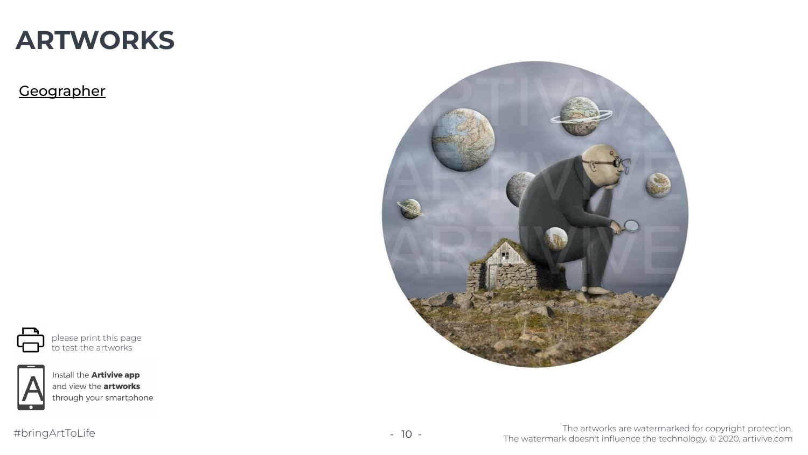

please print this page to test the artworks



Install the **Artivive app** and view the **artworks**<br>through your smartphone

#bringArtToLife - 10 -





**Geographer** 

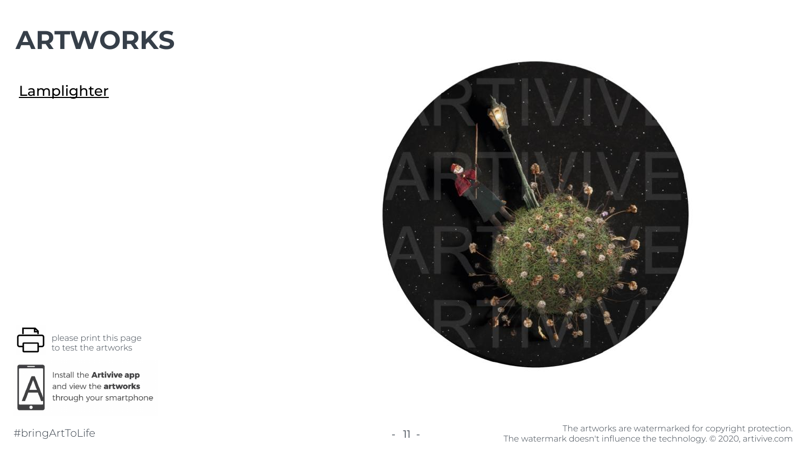#bringArtToLife - 11 -



The artworks are watermarked for copyright protection. The watermark doesn't influence the technology. © 2020, artivive.com



please print this page to test the artworks



Install the **Artivive app** and view the artworks<br>through your smartphone



**Lamplighter** 

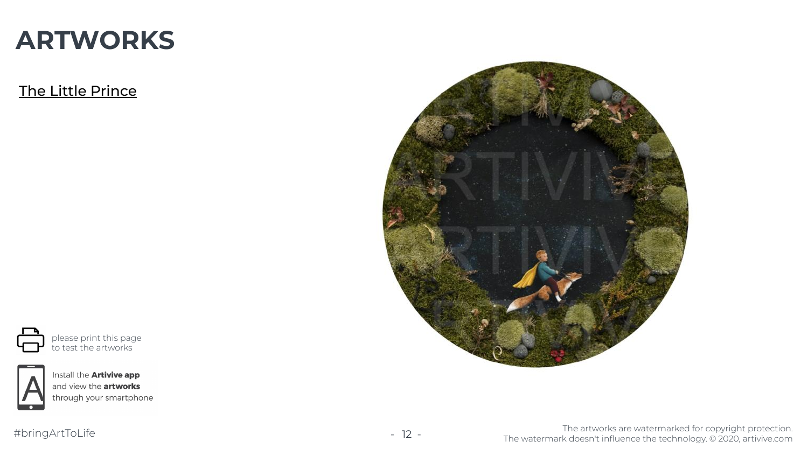

please print this page to test the artworks



Install the **Artivive app** and view the artworks<br>through your smartphone

#bringArtToLife - 12 -



## **ARTWORKS**

The Little Prince

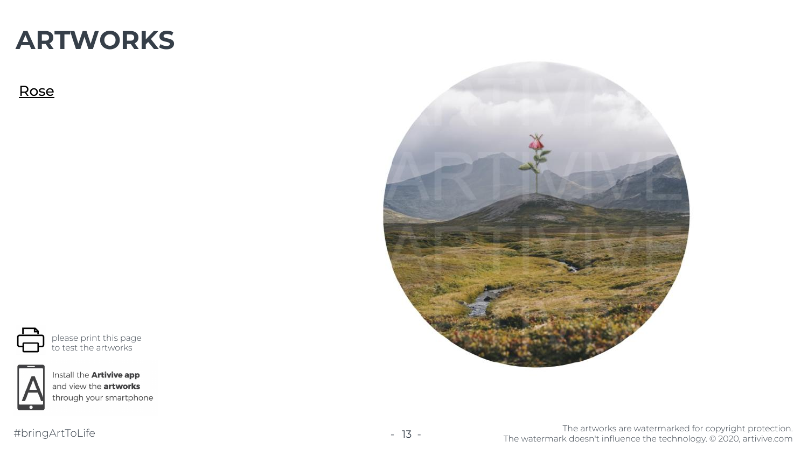

please print this page to test the artworks

![](_page_12_Picture_4.jpeg)

Install the **Artivive app** and view the **artworks**<br>through your smartphone

#bringArtToLife - 13 -

![](_page_12_Picture_7.jpeg)

### **ARTWORKS**

#### Rose

![](_page_12_Picture_2.jpeg)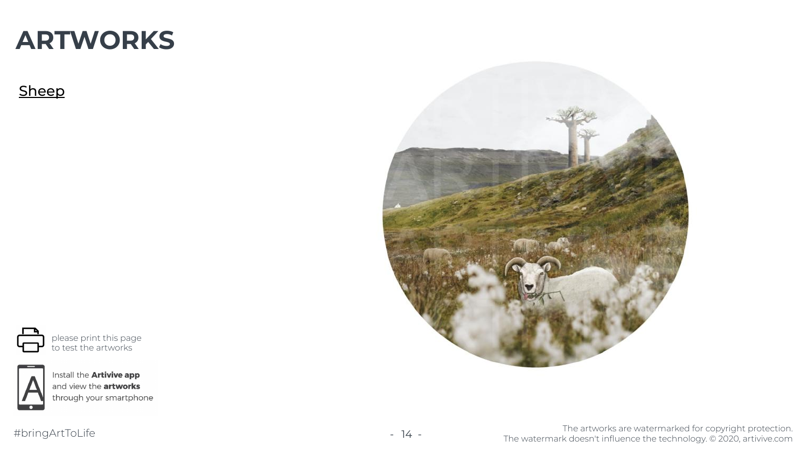![](_page_13_Figure_10.jpeg)

please print this page to test the artworks

![](_page_13_Picture_4.jpeg)

Install the **Artivive app** and view the artworks<br>through your smartphone

#bringArtToLife - 14 -

![](_page_13_Picture_7.jpeg)

![](_page_13_Picture_0.jpeg)

### Sheep

![](_page_13_Picture_2.jpeg)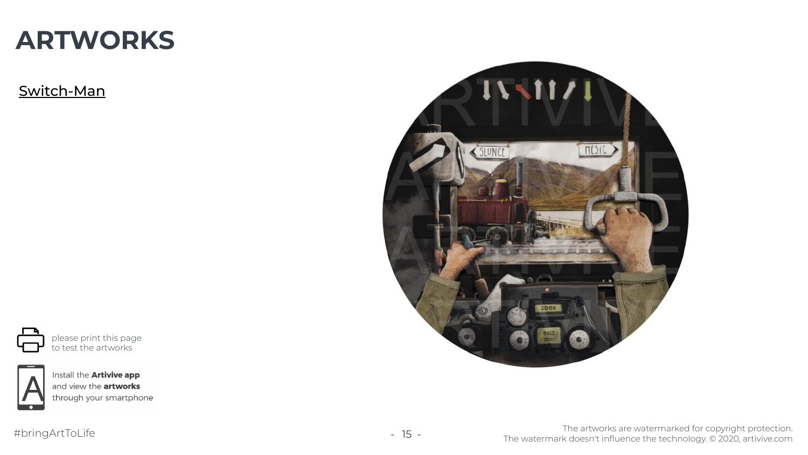![](_page_14_Figure_10.jpeg)

please print this page to test the artworks

![](_page_14_Picture_4.jpeg)

Install the **Artivive app** and view the artworks<br>through your smartphone

#bringArtToLife - 15 -

![](_page_14_Picture_7.jpeg)

![](_page_14_Picture_0.jpeg)

Switch-Man

![](_page_14_Picture_2.jpeg)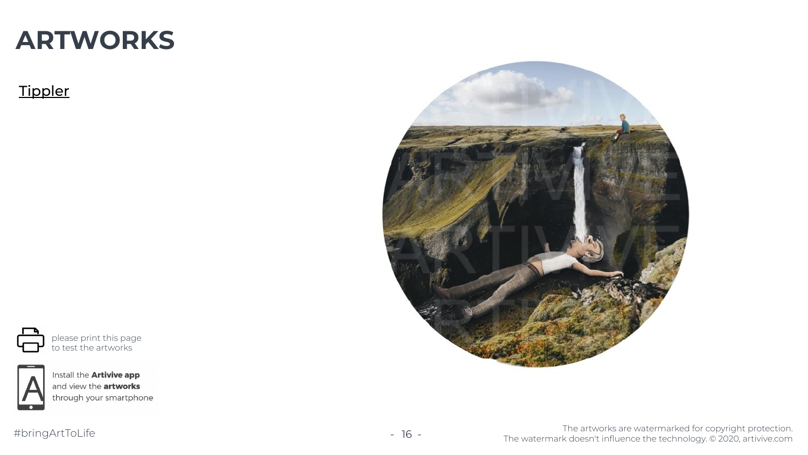![](_page_15_Figure_10.jpeg)

please print this page to test the artworks

![](_page_15_Picture_4.jpeg)

Install the **Artivive app** and view the artworks<br>through your smartphone

#bringArtToLife - 16 -

![](_page_15_Picture_7.jpeg)

![](_page_15_Picture_0.jpeg)

### **Tippler**

![](_page_15_Picture_2.jpeg)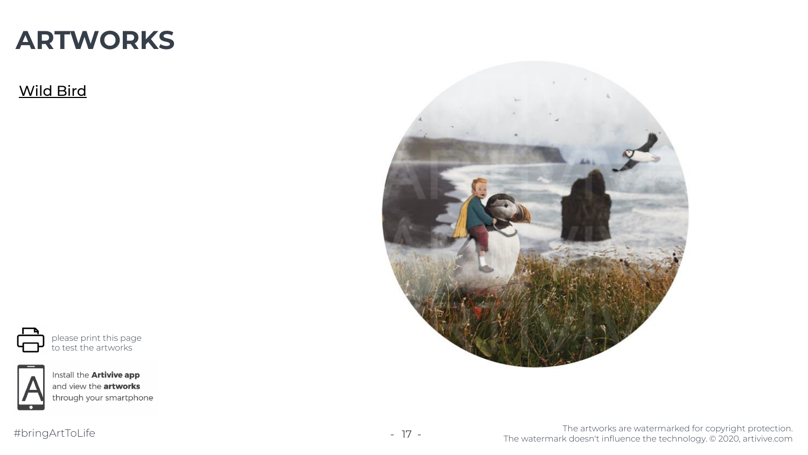![](_page_16_Figure_10.jpeg)

please print this page to test the artworks

![](_page_16_Picture_4.jpeg)

Install the **Artivive app** and view the artworks<br>through your smartphone

#bringArtToLife - 17 -

![](_page_16_Picture_7.jpeg)

![](_page_16_Picture_0.jpeg)

### Wild Bird

![](_page_16_Picture_2.jpeg)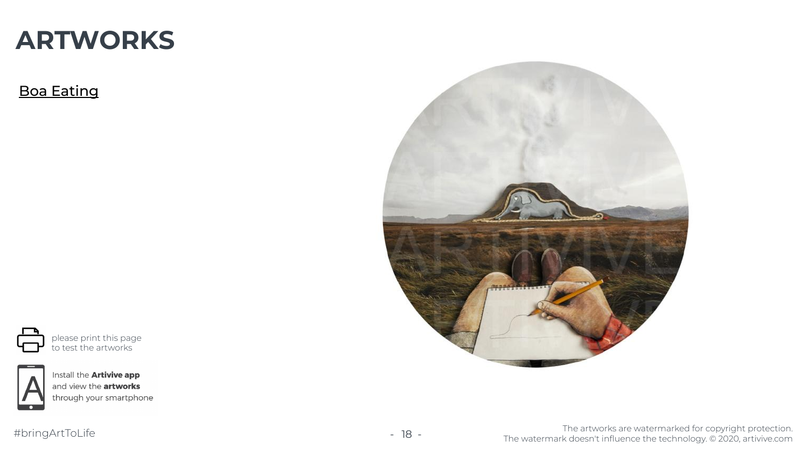![](_page_17_Figure_10.jpeg)

please print this page to test the artworks

![](_page_17_Picture_4.jpeg)

Install the **Artivive app** and view the **artworks**<br>through your smartphone

#bringArtToLife - 18 -

![](_page_17_Picture_7.jpeg)

![](_page_17_Picture_0.jpeg)

### Boa Eating

![](_page_17_Picture_2.jpeg)